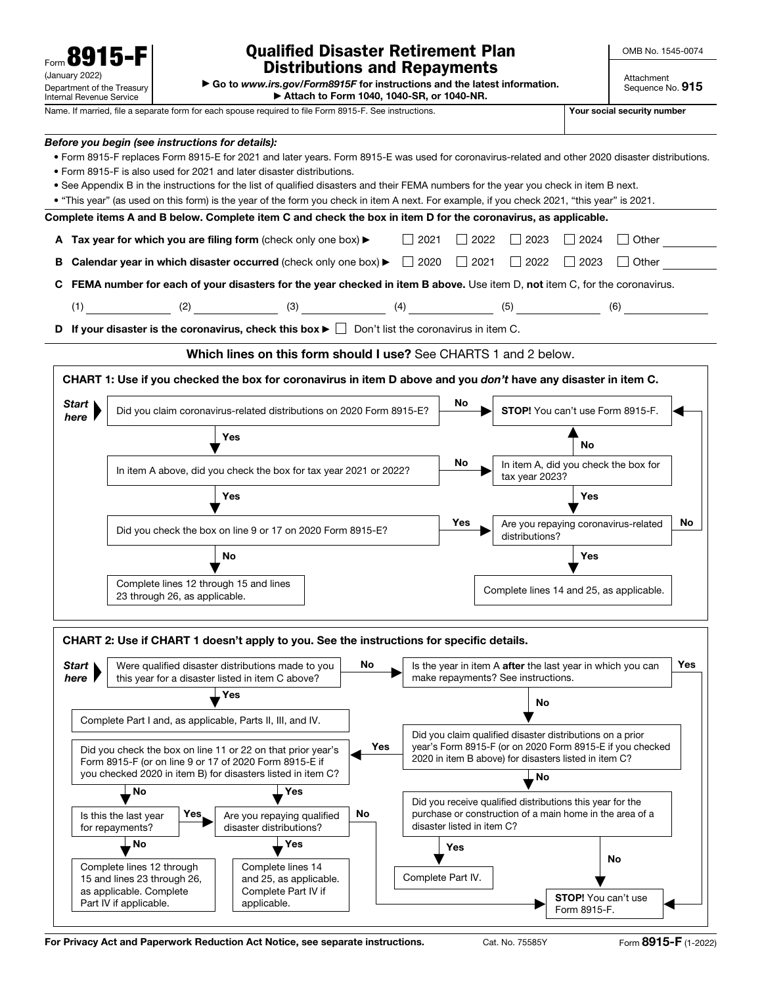| T<br>Form                                              |
|--------------------------------------------------------|
| (January 2022)                                         |
| Department of the Treasury<br>Internal Revenue Service |

## Qualified Disaster Retirement Plan Distributions and Repayments

OMB No. 1545-0074

▶ Go to *www.irs.gov/Form8915F* for instructions and the latest information. ▶ Attach to Form 1040, 1040-SR, or 1040-NR.

Attachment

| internai Revenue Service                                                                                                                                                                                                                                              |                                                                                     | <b>P</b> Attach to Form 1040, 1040-36, or 1040-196.                                                                                                                                                                                                                                                                                                                                                                                                                                                                |     |                   |     |                                    |                                                                                                                                                                                 |     |
|-----------------------------------------------------------------------------------------------------------------------------------------------------------------------------------------------------------------------------------------------------------------------|-------------------------------------------------------------------------------------|--------------------------------------------------------------------------------------------------------------------------------------------------------------------------------------------------------------------------------------------------------------------------------------------------------------------------------------------------------------------------------------------------------------------------------------------------------------------------------------------------------------------|-----|-------------------|-----|------------------------------------|---------------------------------------------------------------------------------------------------------------------------------------------------------------------------------|-----|
|                                                                                                                                                                                                                                                                       |                                                                                     | Name. If married, file a separate form for each spouse required to file Form 8915-F. See instructions.                                                                                                                                                                                                                                                                                                                                                                                                             |     |                   |     |                                    | Your social security number                                                                                                                                                     |     |
|                                                                                                                                                                                                                                                                       | Before you begin (see instructions for details):                                    | . Form 8915-F replaces Form 8915-E for 2021 and later years. Form 8915-E was used for coronavirus-related and other 2020 disaster distributions.<br>• Form 8915-F is also used for 2021 and later disaster distributions.<br>• See Appendix B in the instructions for the list of qualified disasters and their FEMA numbers for the year you check in item B next.<br>• "This year" (as used on this form) is the year of the form you check in item A next. For example, if you check 2021, "this year" is 2021. |     |                   |     |                                    |                                                                                                                                                                                 |     |
|                                                                                                                                                                                                                                                                       |                                                                                     | Complete items A and B below. Complete item C and check the box in item D for the coronavirus, as applicable.                                                                                                                                                                                                                                                                                                                                                                                                      |     |                   |     |                                    |                                                                                                                                                                                 |     |
|                                                                                                                                                                                                                                                                       |                                                                                     | A Tax year for which you are filing form (check only one box) $\blacktriangleright$ $\Box$ 2021                                                                                                                                                                                                                                                                                                                                                                                                                    |     |                   |     | $\Box$ 2022 $\Box$ 2023            | $\Box$ 2024 $\Box$ Other                                                                                                                                                        |     |
|                                                                                                                                                                                                                                                                       |                                                                                     | <b>B</b> Calendar year in which disaster occurred (check only one box) $\blacktriangleright$ $\Box$ 2020 $\Box$ 2021 $\Box$ 2022 $\Box$ 2023                                                                                                                                                                                                                                                                                                                                                                       |     |                   |     |                                    | $\Box$ Other                                                                                                                                                                    |     |
|                                                                                                                                                                                                                                                                       |                                                                                     | C FEMA number for each of your disasters for the year checked in item B above. Use item D, not item C, for the coronavirus.                                                                                                                                                                                                                                                                                                                                                                                        |     |                   |     |                                    |                                                                                                                                                                                 |     |
|                                                                                                                                                                                                                                                                       |                                                                                     | (1) (2) (2) (3) (4) (4) (5)                                                                                                                                                                                                                                                                                                                                                                                                                                                                                        |     |                   |     |                                    | (6)                                                                                                                                                                             |     |
|                                                                                                                                                                                                                                                                       |                                                                                     | <b>D</b> If your disaster is the coronavirus, check this box $\blacktriangleright$ $\Box$ Don't list the coronavirus in item C.                                                                                                                                                                                                                                                                                                                                                                                    |     |                   |     |                                    |                                                                                                                                                                                 |     |
|                                                                                                                                                                                                                                                                       |                                                                                     | Which lines on this form should I use? See CHARTS 1 and 2 below.                                                                                                                                                                                                                                                                                                                                                                                                                                                   |     |                   |     |                                    |                                                                                                                                                                                 |     |
|                                                                                                                                                                                                                                                                       |                                                                                     | CHART 1: Use if you checked the box for coronavirus in item D above and you don't have any disaster in item C.                                                                                                                                                                                                                                                                                                                                                                                                     |     |                   |     |                                    |                                                                                                                                                                                 |     |
| Start<br>here                                                                                                                                                                                                                                                         |                                                                                     | Did you claim coronavirus-related distributions on 2020 Form 8915-E?                                                                                                                                                                                                                                                                                                                                                                                                                                               |     |                   | No  |                                    | STOP! You can't use Form 8915-F.                                                                                                                                                |     |
|                                                                                                                                                                                                                                                                       |                                                                                     | Yes                                                                                                                                                                                                                                                                                                                                                                                                                                                                                                                |     |                   |     |                                    | No                                                                                                                                                                              |     |
|                                                                                                                                                                                                                                                                       |                                                                                     | In item A above, did you check the box for tax year 2021 or 2022?                                                                                                                                                                                                                                                                                                                                                                                                                                                  |     |                   | No  | tax year 2023?                     | In item A, did you check the box for                                                                                                                                            |     |
|                                                                                                                                                                                                                                                                       |                                                                                     | <b>Yes</b>                                                                                                                                                                                                                                                                                                                                                                                                                                                                                                         |     |                   |     |                                    | Yes                                                                                                                                                                             |     |
|                                                                                                                                                                                                                                                                       |                                                                                     | Did you check the box on line 9 or 17 on 2020 Form 8915-E?                                                                                                                                                                                                                                                                                                                                                                                                                                                         |     |                   | Yes | distributions?                     | Are you repaying coronavirus-related                                                                                                                                            | No  |
|                                                                                                                                                                                                                                                                       |                                                                                     | No                                                                                                                                                                                                                                                                                                                                                                                                                                                                                                                 |     |                   |     |                                    | Yes                                                                                                                                                                             |     |
|                                                                                                                                                                                                                                                                       | Complete lines 12 through 15 and lines<br>23 through 26, as applicable.             |                                                                                                                                                                                                                                                                                                                                                                                                                                                                                                                    |     |                   |     |                                    | Complete lines 14 and 25, as applicable.                                                                                                                                        |     |
| <b>Start</b>                                                                                                                                                                                                                                                          |                                                                                     | CHART 2: Use if CHART 1 doesn't apply to you. See the instructions for specific details.<br>Were qualified disaster distributions made to you                                                                                                                                                                                                                                                                                                                                                                      | No  |                   |     |                                    | Is the year in item A after the last year in which you can                                                                                                                      | Yes |
| here                                                                                                                                                                                                                                                                  |                                                                                     | this year for a disaster listed in item C above?                                                                                                                                                                                                                                                                                                                                                                                                                                                                   |     |                   |     | make repayments? See instructions. |                                                                                                                                                                                 |     |
|                                                                                                                                                                                                                                                                       |                                                                                     | Yes<br>Complete Part I and, as applicable, Parts II, III, and IV.                                                                                                                                                                                                                                                                                                                                                                                                                                                  |     |                   |     | No                                 |                                                                                                                                                                                 |     |
|                                                                                                                                                                                                                                                                       |                                                                                     | Did you check the box on line 11 or 22 on that prior year's<br>Form 8915-F (or on line 9 or 17 of 2020 Form 8915-E if<br>you checked 2020 in item B) for disasters listed in item C?                                                                                                                                                                                                                                                                                                                               | Yes |                   |     | No                                 | Did you claim qualified disaster distributions on a prior<br>year's Form 8915-F (or on 2020 Form 8915-E if you checked<br>2020 in item B above) for disasters listed in item C? |     |
|                                                                                                                                                                                                                                                                       | No                                                                                  | Yes                                                                                                                                                                                                                                                                                                                                                                                                                                                                                                                |     |                   |     |                                    |                                                                                                                                                                                 |     |
| Did you receive qualified distributions this year for the<br>purchase or construction of a main home in the area of a<br>No<br>Yes<br>Is this the last year<br>Are you repaying qualified<br>disaster listed in item C?<br>disaster distributions?<br>for repayments? |                                                                                     |                                                                                                                                                                                                                                                                                                                                                                                                                                                                                                                    |     |                   |     |                                    |                                                                                                                                                                                 |     |
|                                                                                                                                                                                                                                                                       | No.                                                                                 | Yes                                                                                                                                                                                                                                                                                                                                                                                                                                                                                                                |     |                   | Yes |                                    | No                                                                                                                                                                              |     |
|                                                                                                                                                                                                                                                                       | Complete lines 12 through<br>15 and lines 23 through 26,<br>as applicable. Complete | Complete lines 14<br>and 25, as applicable.<br>Complete Part IV if                                                                                                                                                                                                                                                                                                                                                                                                                                                 |     | Complete Part IV. |     |                                    |                                                                                                                                                                                 |     |

For Privacy Act and Paperwork Reduction Act Notice, see separate instructions. Cat. No. 75585Y Form 8915-F (1-2022)

applicable.

Part IV if applicable.

◀

STOP! You can't use Form 8915-F.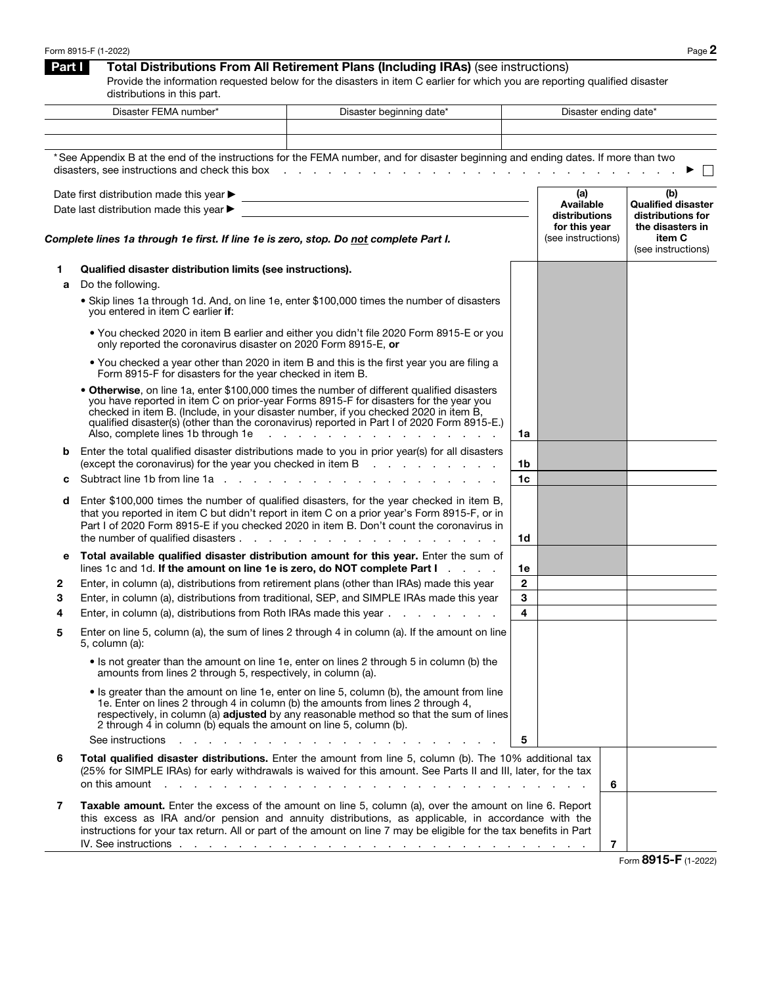| Form 8915-F (1-2022) | $P$ age $\geq$ |
|----------------------|----------------|
|----------------------|----------------|

## **Part I** Total Distributions From All Retirement Plans (Including IRAs) (see instructions)

Provide the information requested below for the disasters in item C earlier for which you are reporting qualified disaster distributions in this part.

|                                                                                                                                                                                                                                                                            | Disaster FEMA number*<br>Disaster beginning date*                                                                                                                                                                          |                                                                                                                                                                                                                                                                                                                                                                                                                                                                                               |                                                    | Disaster ending date* |                                                                           |                              |
|----------------------------------------------------------------------------------------------------------------------------------------------------------------------------------------------------------------------------------------------------------------------------|----------------------------------------------------------------------------------------------------------------------------------------------------------------------------------------------------------------------------|-----------------------------------------------------------------------------------------------------------------------------------------------------------------------------------------------------------------------------------------------------------------------------------------------------------------------------------------------------------------------------------------------------------------------------------------------------------------------------------------------|----------------------------------------------------|-----------------------|---------------------------------------------------------------------------|------------------------------|
|                                                                                                                                                                                                                                                                            |                                                                                                                                                                                                                            |                                                                                                                                                                                                                                                                                                                                                                                                                                                                                               |                                                    |                       |                                                                           |                              |
|                                                                                                                                                                                                                                                                            |                                                                                                                                                                                                                            | *See Appendix B at the end of the instructions for the FEMA number, and for disaster beginning and ending dates. If more than two                                                                                                                                                                                                                                                                                                                                                             |                                                    |                       |                                                                           |                              |
| Date first distribution made this year ▶<br><u> 1989 - Johann Barn, amerikansk politiker (d. 1989)</u><br>Date last distribution made this year ▶<br><u> 1980 - Johann Barn, mars and de Branch Barn, mars and de Branch Barn, mars and de Branch Barn, mars and de Br</u> |                                                                                                                                                                                                                            |                                                                                                                                                                                                                                                                                                                                                                                                                                                                                               | (a)<br>Available<br>distributions<br>for this year |                       | (b)<br><b>Qualified disaster</b><br>distributions for<br>the disasters in |                              |
|                                                                                                                                                                                                                                                                            | Complete lines 1a through 1e first. If line 1e is zero, stop. Do not complete Part I.                                                                                                                                      |                                                                                                                                                                                                                                                                                                                                                                                                                                                                                               |                                                    |                       | (see instructions)                                                        | item C<br>(see instructions) |
| 1<br>a                                                                                                                                                                                                                                                                     | Qualified disaster distribution limits (see instructions).<br>Do the following.                                                                                                                                            |                                                                                                                                                                                                                                                                                                                                                                                                                                                                                               |                                                    |                       |                                                                           |                              |
|                                                                                                                                                                                                                                                                            | you entered in item C earlier if:                                                                                                                                                                                          | • Skip lines 1a through 1d. And, on line 1e, enter \$100,000 times the number of disasters                                                                                                                                                                                                                                                                                                                                                                                                    |                                                    |                       |                                                                           |                              |
|                                                                                                                                                                                                                                                                            | only reported the coronavirus disaster on 2020 Form 8915-E, or                                                                                                                                                             | . You checked 2020 in item B earlier and either you didn't file 2020 Form 8915-E or you                                                                                                                                                                                                                                                                                                                                                                                                       |                                                    |                       |                                                                           |                              |
|                                                                                                                                                                                                                                                                            | Form 8915-F for disasters for the year checked in item B.                                                                                                                                                                  | . You checked a year other than 2020 in item B and this is the first year you are filing a                                                                                                                                                                                                                                                                                                                                                                                                    |                                                    |                       |                                                                           |                              |
|                                                                                                                                                                                                                                                                            | Also, complete lines 1b through 1e                                                                                                                                                                                         | • Otherwise, on line 1a, enter \$100,000 times the number of different qualified disasters<br>you have reported in item C on prior-year Forms 8915-F for disasters for the year you<br>checked in item B. (Include, in your disaster number, if you checked 2020 in item B,<br>qualified disaster(s) (other than the coronavirus) reported in Part I of 2020 Form 8915-E.)<br>the contract of the contract of the contract of the contract of the contract of the contract of the contract of | 1a                                                 |                       |                                                                           |                              |
| b                                                                                                                                                                                                                                                                          |                                                                                                                                                                                                                            | Enter the total qualified disaster distributions made to you in prior year(s) for all disasters                                                                                                                                                                                                                                                                                                                                                                                               |                                                    |                       |                                                                           |                              |
| c                                                                                                                                                                                                                                                                          |                                                                                                                                                                                                                            | (except the coronavirus) for the year you checked in item B                                                                                                                                                                                                                                                                                                                                                                                                                                   | 1b<br>1c                                           |                       |                                                                           |                              |
| d                                                                                                                                                                                                                                                                          |                                                                                                                                                                                                                            | Enter \$100,000 times the number of qualified disasters, for the year checked in item B,<br>that you reported in item C but didn't report in item C on a prior year's Form 8915-F, or in<br>Part I of 2020 Form 8915-E if you checked 2020 in item B. Don't count the coronavirus in                                                                                                                                                                                                          | 1d                                                 |                       |                                                                           |                              |
| е                                                                                                                                                                                                                                                                          |                                                                                                                                                                                                                            | Total available qualified disaster distribution amount for this year. Enter the sum of                                                                                                                                                                                                                                                                                                                                                                                                        |                                                    |                       |                                                                           |                              |
| 2                                                                                                                                                                                                                                                                          |                                                                                                                                                                                                                            | lines 1c and 1d. If the amount on line 1e is zero, do NOT complete Part $I_1, \ldots, I_n$<br>Enter, in column (a), distributions from retirement plans (other than IRAs) made this year                                                                                                                                                                                                                                                                                                      | 1e<br>$\mathbf{2}$                                 |                       |                                                                           |                              |
| З                                                                                                                                                                                                                                                                          |                                                                                                                                                                                                                            | Enter, in column (a), distributions from traditional, SEP, and SIMPLE IRAs made this year                                                                                                                                                                                                                                                                                                                                                                                                     | 3                                                  |                       |                                                                           |                              |
| 4                                                                                                                                                                                                                                                                          |                                                                                                                                                                                                                            | Enter, in column (a), distributions from Roth IRAs made this year                                                                                                                                                                                                                                                                                                                                                                                                                             | 4                                                  |                       |                                                                           |                              |
| 5                                                                                                                                                                                                                                                                          | 5, column (a):                                                                                                                                                                                                             | Enter on line 5, column (a), the sum of lines 2 through 4 in column (a). If the amount on line                                                                                                                                                                                                                                                                                                                                                                                                |                                                    |                       |                                                                           |                              |
|                                                                                                                                                                                                                                                                            | amounts from lines 2 through 5, respectively, in column (a).                                                                                                                                                               | . Is not greater than the amount on line 1e, enter on lines 2 through 5 in column (b) the                                                                                                                                                                                                                                                                                                                                                                                                     |                                                    |                       |                                                                           |                              |
|                                                                                                                                                                                                                                                                            | 1e. Enter on lines 2 through 4 in column (b) the amounts from lines 2 through 4,<br>2 through 4 in column (b) equals the amount on line 5, column (b).<br>See instructions<br>and a state of the state of the state of the | • Is greater than the amount on line 1e, enter on line 5, column (b), the amount from line<br>respectively, in column (a) adjusted by any reasonable method so that the sum of lines                                                                                                                                                                                                                                                                                                          | 5                                                  |                       |                                                                           |                              |
| 6                                                                                                                                                                                                                                                                          |                                                                                                                                                                                                                            | Total qualified disaster distributions. Enter the amount from line 5, column (b). The 10% additional tax<br>(25% for SIMPLE IRAs) for early withdrawals is waived for this amount. See Parts II and III, later, for the tax<br>on this amount that is a contract that is a contract that is a contract of the contract of the contract of the contract of the contract of the contract of the contract of the contract of the contract of the contract of the                                 |                                                    |                       | 6                                                                         |                              |
| 7                                                                                                                                                                                                                                                                          |                                                                                                                                                                                                                            | <b>Taxable amount.</b> Enter the excess of the amount on line 5, column (a), over the amount on line 6. Report<br>this excess as IRA and/or pension and annuity distributions, as applicable, in accordance with the<br>instructions for your tax return. All or part of the amount on line 7 may be eligible for the tax benefits in Part                                                                                                                                                    |                                                    |                       | $\overline{7}$                                                            | -                            |

Form 8915-F (1-2022)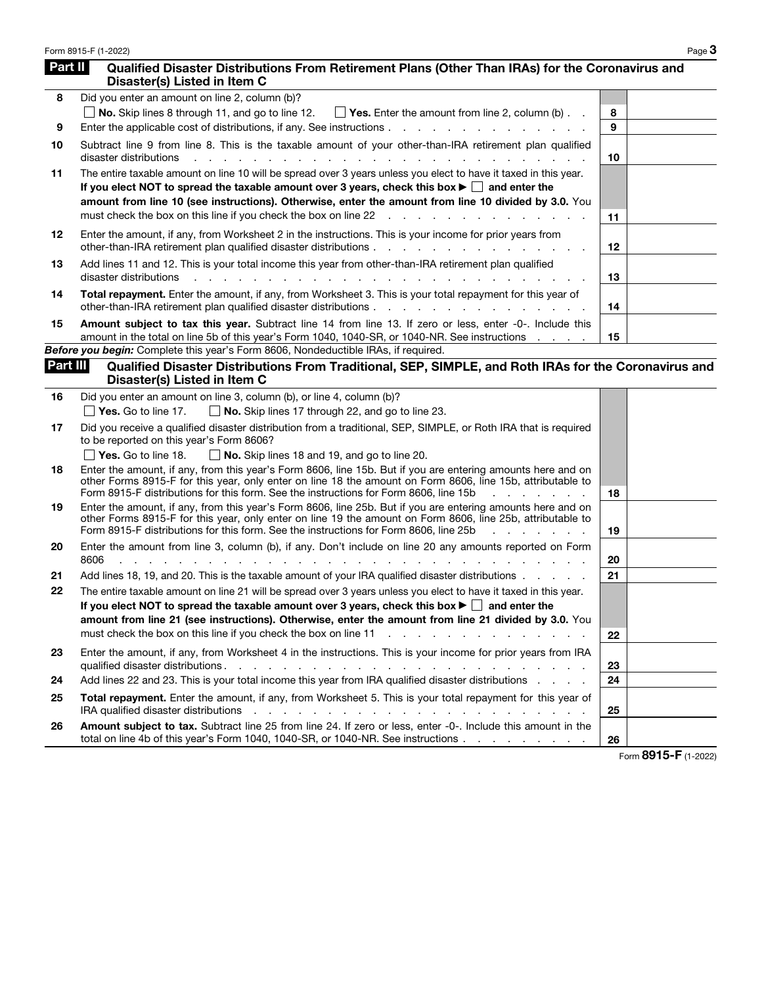| Form 8915-F (1-2022) | <b>Page ک</b> |
|----------------------|---------------|
|----------------------|---------------|

| Part II  | Qualified Disaster Distributions From Retirement Plans (Other Than IRAs) for the Coronavirus and<br>Disaster(s) Listed in Item C                                                                                                                                                                                                                                                                                                                                                                                                                                                                                                                     |    |  |
|----------|------------------------------------------------------------------------------------------------------------------------------------------------------------------------------------------------------------------------------------------------------------------------------------------------------------------------------------------------------------------------------------------------------------------------------------------------------------------------------------------------------------------------------------------------------------------------------------------------------------------------------------------------------|----|--|
| 8        | Did you enter an amount on line 2, column (b)?                                                                                                                                                                                                                                                                                                                                                                                                                                                                                                                                                                                                       |    |  |
|          | <b>No.</b> Skip lines 8 through 11, and go to line 12. $\Box$ Yes. Enter the amount from line 2, column (b) $\Box$                                                                                                                                                                                                                                                                                                                                                                                                                                                                                                                                   | 8  |  |
| 9        |                                                                                                                                                                                                                                                                                                                                                                                                                                                                                                                                                                                                                                                      | 9  |  |
| 10       | Subtract line 9 from line 8. This is the taxable amount of your other-than-IRA retirement plan qualified<br>disaster distributions<br>a na manazarta na manazarta na                                                                                                                                                                                                                                                                                                                                                                                                                                                                                 | 10 |  |
| 11       | The entire taxable amount on line 10 will be spread over 3 years unless you elect to have it taxed in this year.<br>If you elect NOT to spread the taxable amount over 3 years, check this box $\blacktriangleright \Box$ and enter the<br>amount from line 10 (see instructions). Otherwise, enter the amount from line 10 divided by 3.0. You<br>must check the box on this line if you check the box on line 22<br>and the contract of the contract of the contract of the contract of the contract of the contract of the contract of the contract of the contract of the contract of the contract of the contract of the contract of the contra | 11 |  |
| 12       | Enter the amount, if any, from Worksheet 2 in the instructions. This is your income for prior years from                                                                                                                                                                                                                                                                                                                                                                                                                                                                                                                                             | 12 |  |
| 13       | Add lines 11 and 12. This is your total income this year from other-than-IRA retirement plan qualified<br>disaster distributions                                                                                                                                                                                                                                                                                                                                                                                                                                                                                                                     | 13 |  |
| 14       | Total repayment. Enter the amount, if any, from Worksheet 3. This is your total repayment for this year of<br>other-than-IRA retirement plan qualified disaster distributions                                                                                                                                                                                                                                                                                                                                                                                                                                                                        | 14 |  |
| 15       | Amount subject to tax this year. Subtract line 14 from line 13. If zero or less, enter -0-. Include this<br>amount in the total on line 5b of this year's Form 1040, 1040-SR, or 1040-NR. See instructions                                                                                                                                                                                                                                                                                                                                                                                                                                           | 15 |  |
|          | <b>Before you begin:</b> Complete this year's Form 8606, Nondeductible IRAs, if required.                                                                                                                                                                                                                                                                                                                                                                                                                                                                                                                                                            |    |  |
| Part III | Qualified Disaster Distributions From Traditional, SEP, SIMPLE, and Roth IRAs for the Coronavirus and<br>Disaster(s) Listed in Item C                                                                                                                                                                                                                                                                                                                                                                                                                                                                                                                |    |  |
| 16       | Did you enter an amount on line 3, column (b), or line 4, column (b)?                                                                                                                                                                                                                                                                                                                                                                                                                                                                                                                                                                                |    |  |
|          | $\Box$ No. Skip lines 17 through 22, and go to line 23.<br>$\vert$ <b>Yes.</b> Go to line 17.                                                                                                                                                                                                                                                                                                                                                                                                                                                                                                                                                        |    |  |
| 17       | Did you receive a qualified disaster distribution from a traditional, SEP, SIMPLE, or Roth IRA that is required<br>to be reported on this year's Form 8606?                                                                                                                                                                                                                                                                                                                                                                                                                                                                                          |    |  |
|          | $\sqrt{$ Yes. Go to line 18.<br>$\Box$ No. Skip lines 18 and 19, and go to line 20.                                                                                                                                                                                                                                                                                                                                                                                                                                                                                                                                                                  |    |  |
| 18       | Enter the amount, if any, from this year's Form 8606, line 15b. But if you are entering amounts here and on<br>other Forms 8915-F for this year, only enter on line 18 the amount on Form 8606, line 15b, attributable to<br>Form 8915-F distributions for this form. See the instructions for Form 8606, line 15b<br>and a state                                                                                                                                                                                                                                                                                                                    | 18 |  |
| 19       | Enter the amount, if any, from this year's Form 8606, line 25b. But if you are entering amounts here and on<br>other Forms 8915-F for this year, only enter on line 19 the amount on Form 8606, line 25b, attributable to<br>Form 8915-F distributions for this form. See the instructions for Form 8606, line 25b<br>a na sa                                                                                                                                                                                                                                                                                                                        | 19 |  |
| 20       | Enter the amount from line 3, column (b), if any. Don't include on line 20 any amounts reported on Form<br>8606                                                                                                                                                                                                                                                                                                                                                                                                                                                                                                                                      | 20 |  |
| 21       | Add lines 18, 19, and 20. This is the taxable amount of your IRA qualified disaster distributions                                                                                                                                                                                                                                                                                                                                                                                                                                                                                                                                                    | 21 |  |
| 22       | The entire taxable amount on line 21 will be spread over 3 years unless you elect to have it taxed in this year.<br>If you elect NOT to spread the taxable amount over 3 years, check this box $\blacktriangleright \Box$ and enter the                                                                                                                                                                                                                                                                                                                                                                                                              |    |  |
|          | amount from line 21 (see instructions). Otherwise, enter the amount from line 21 divided by 3.0. You<br>must check the box on this line if you check the box on line 11<br><u>.</u>                                                                                                                                                                                                                                                                                                                                                                                                                                                                  | 22 |  |
| 23       | Enter the amount, if any, from Worksheet 4 in the instructions. This is your income for prior years from IRA<br>qualified disaster distributions.<br>design and contract to the contract of the con-                                                                                                                                                                                                                                                                                                                                                                                                                                                 | 23 |  |
| 24       | Add lines 22 and 23. This is your total income this year from IRA qualified disaster distributions .                                                                                                                                                                                                                                                                                                                                                                                                                                                                                                                                                 | 24 |  |

| 25 | <b>Total repayment.</b> Enter the amount, if any, from Worksheet 5. This is your total repayment for this year of                                                                                                              |    |
|----|--------------------------------------------------------------------------------------------------------------------------------------------------------------------------------------------------------------------------------|----|
|    | IRA qualified disaster distributions reader reader to reader the control of the control of the control of the control of the control of the control of the control of the control of the control of the control of the control | 25 |
| 26 | Amount subject to tax. Subtract line 25 from line 24. If zero or less, enter -0-. Include this amount in the                                                                                                                   |    |
|    | total on line 4b of this year's Form 1040, 1040-SR, or 1040-NR. See instructions                                                                                                                                               | 26 |

Form 8915-F (1-2022)